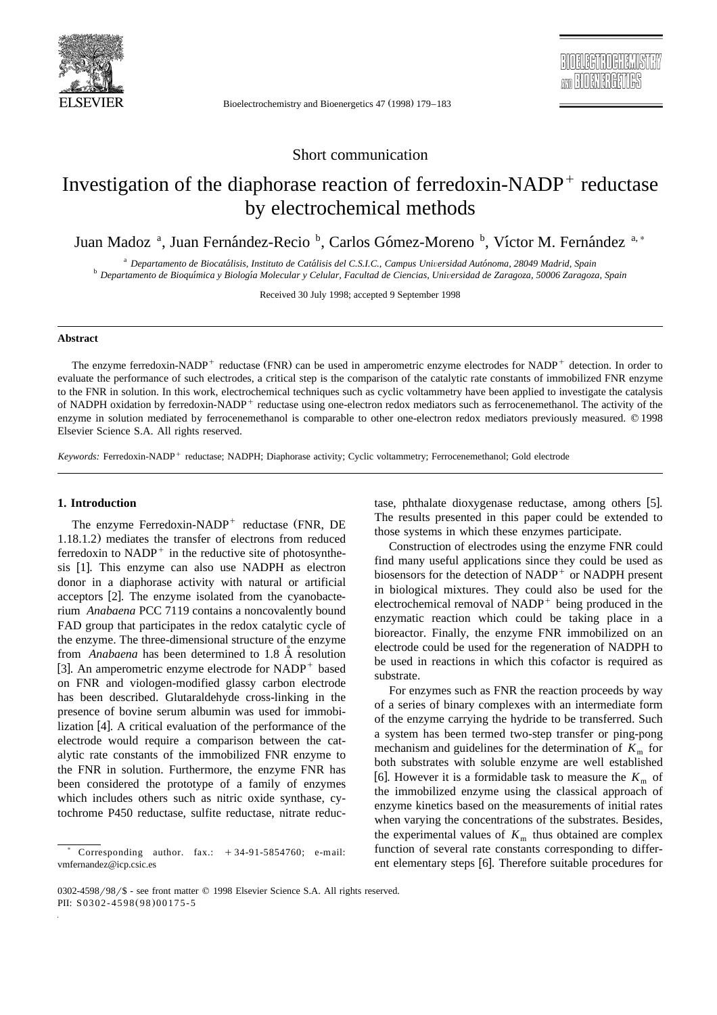

Bioelectrochemistry and Bioenergetics 47 (1998) 179-183

# Short communication

# Investigation of the diaphorase reaction of ferredoxin-NADP $<sup>+</sup>$  reductase</sup> by electrochemical methods

Juan Madoz<sup>a</sup>, Juan Fernández-Reciob, Carlos Gómez-Morenob, Víctor M. Fernández<sup>a,\*</sup>

<sup>a</sup> Departamento de Biocatálisis, Instituto de Catálisis del C.S.I.C., Campus Universidad Autónoma, 28049 Madrid, Spain<br><sup>b</sup> Departamento de Bioquímica y Biología Molecular y Celular, Facultad de Ciencias, Universidad de Za

Received 30 July 1998; accepted 9 September 1998

## **Abstract**

The enzyme ferredoxin-NADP<sup>+</sup> reductase (FNR) can be used in amperometric enzyme electrodes for NADP<sup>+</sup> detection. In order to evaluate the performance of such electrodes, a critical step is the comparison of the catalytic rate constants of immobilized FNR enzyme to the FNR in solution. In this work, electrochemical techniques such as cyclic voltammetry have been applied to investigate the catalysis of NADPH oxidation by ferredoxin-NADP<sup>+</sup> reductase using one-electron redox mediators such as ferrocenemethanol. The activity of the enzyme in solution mediated by ferrocenemethanol is comparable to other one-electron redox mediators previously measured. © 1998 Elsevier Science S.A. All rights reserved.

*Keywords:* Ferredoxin-NADP<sup>+</sup> reductase; NADPH; Diaphorase activity; Cyclic voltammetry; Ferrocenemethanol; Gold electrode

# **1. Introduction**

The enzyme Ferredoxin-NADP<sup>+</sup> reductase (FNR, DE 1.18.1.2) mediates the transfer of electrons from reduced ferredoxin to  $NADP^+$  in the reductive site of photosynthesis  $[1]$ . This enzyme can also use NADPH as electron donor in a diaphorase activity with natural or artificial acceptors [2]. The enzyme isolated from the cyanobacterium *Anabaena* PCC 7119 contains a noncovalently bound FAD group that participates in the redox catalytic cycle of the enzyme. The three-dimensional structure of the enzyme from *Anabaena* has been determined to 1.8 Å resolution [3]. An amperometric enzyme electrode for  $NADP<sup>+</sup>$  based on FNR and viologen-modified glassy carbon electrode has been described. Glutaraldehyde cross-linking in the presence of bovine serum albumin was used for immobilization [4]. A critical evaluation of the performance of the electrode would require a comparison between the catalytic rate constants of the immobilized FNR enzyme to the FNR in solution. Furthermore, the enzyme FNR has been considered the prototype of a family of enzymes which includes others such as nitric oxide synthase, cytochrome P450 reductase, sulfite reductase, nitrate reductase, phthalate dioxygenase reductase, among others [5]. The results presented in this paper could be extended to those systems in which these enzymes participate.

Construction of electrodes using the enzyme FNR could find many useful applications since they could be used as biosensors for the detection of  $NADP<sup>+</sup>$  or NADPH present in biological mixtures. They could also be used for the electrochemical removal of  $NADP<sup>+</sup>$  being produced in the enzymatic reaction which could be taking place in a bioreactor. Finally, the enzyme FNR immobilized on an electrode could be used for the regeneration of NADPH to be used in reactions in which this cofactor is required as substrate.

For enzymes such as FNR the reaction proceeds by way of a series of binary complexes with an intermediate form of the enzyme carrying the hydride to be transferred. Such a system has been termed two-step transfer or ping-pong mechanism and guidelines for the determination of  $K<sub>m</sub>$  for both substrates with soluble enzyme are well established [6]. However it is a formidable task to measure the  $K<sub>m</sub>$  of the immobilized enzyme using the classical approach of enzyme kinetics based on the measurements of initial rates when varying the concentrations of the substrates. Besides, the experimental values of  $K<sub>m</sub>$  thus obtained are complex function of several rate constants corresponding to different elementary steps [6]. Therefore suitable procedures for

Corresponding author.  $\text{fax.:} \quad +34-91-5854760$ ; e-mail: vmfernandez@icp.csic.es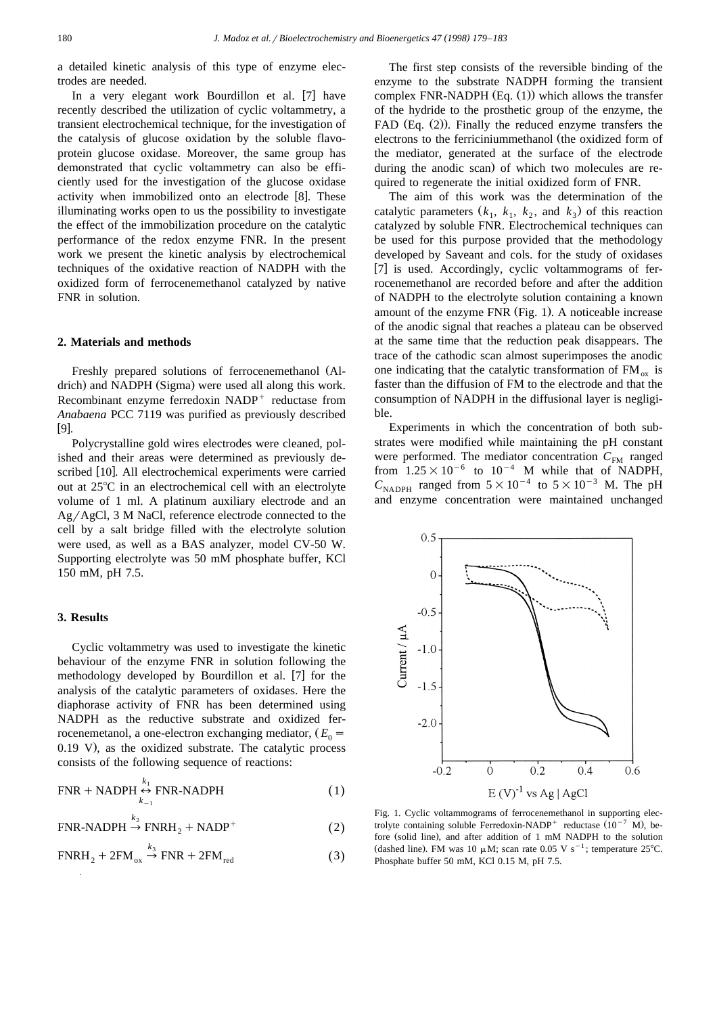a detailed kinetic analysis of this type of enzyme electrodes are needed.

In a very elegant work Bourdillon et al. [7] have recently described the utilization of cyclic voltammetry, a transient electrochemical technique, for the investigation of the catalysis of glucose oxidation by the soluble flavoprotein glucose oxidase. Moreover, the same group has demonstrated that cyclic voltammetry can also be efficiently used for the investigation of the glucose oxidase activity when immobilized onto an electrode [8]. These illuminating works open to us the possibility to investigate the effect of the immobilization procedure on the catalytic performance of the redox enzyme FNR. In the present work we present the kinetic analysis by electrochemical techniques of the oxidative reaction of NADPH with the oxidized form of ferrocenemethanol catalyzed by native FNR in solution.

#### **2. Materials and methods**

Freshly prepared solutions of ferrocenemethanol (Aldrich) and NADPH (Sigma) were used all along this work. Recombinant enzyme ferredoxin  $NADP<sup>+</sup>$  reductase from *Anabaena* PCC 7119 was purified as previously described  $[9]$ .

Polycrystalline gold wires electrodes were cleaned, polished and their areas were determined as previously described [10]. All electrochemical experiments were carried out at  $25^{\circ}$ C in an electrochemical cell with an electrolyte volume of 1 ml. A platinum auxiliary electrode and an  $Ag/AgCl$ , 3 M NaCl, reference electrode connected to the cell by a salt bridge filled with the electrolyte solution were used, as well as a BAS analyzer, model CV-50 W. Supporting electrolyte was 50 mM phosphate buffer, KCl 150 mM, pH 7.5.

## **3. Results**

Cyclic voltammetry was used to investigate the kinetic behaviour of the enzyme FNR in solution following the methodology developed by Bourdillon et al. [7] for the analysis of the catalytic parameters of oxidases. Here the diaphorase activity of FNR has been determined using NADPH as the reductive substrate and oxidized ferrocenemetanol, a one-electron exchanging mediator,  $(E_0 =$  $0.19$  V), as the oxidized substrate. The catalytic process consists of the following sequence of reactions:

$$
\text{FNR} + \text{NADPH} \underset{k_{-1}}{\leftrightarrow} \text{FNR-NADPH} \tag{1}
$$

 $FNR-NADPH \stackrel{k_2}{\rightarrow} FNRH_2 + NADP^+$  (2)

$$
\text{FNRH}_2 + 2\text{FM}_{ox} \xrightarrow{k_3} \text{FNR} + 2\text{FM}_{red} \tag{3}
$$

The first step consists of the reversible binding of the enzyme to the substrate NADPH forming the transient complex FNR-NADPH  $(Eq. (1))$  which allows the transfer of the hydride to the prosthetic group of the enzyme, the FAD  $(Eq. (2))$ . Finally the reduced enzyme transfers the electrons to the ferricinium methanol (the oxidized form of the mediator, generated at the surface of the electrode during the anodic scan) of which two molecules are required to regenerate the initial oxidized form of FNR.

The aim of this work was the determination of the catalytic parameters  $(k_1, k_1, k_2,$  and  $k_3$ ) of this reaction catalyzed by soluble FNR. Electrochemical techniques can be used for this purpose provided that the methodology developed by Saveant and cols. for the study of oxidases [7] is used. Accordingly, cyclic voltammograms of ferrocenemethanol are recorded before and after the addition of NADPH to the electrolyte solution containing a known amount of the enzyme FNR (Fig. 1). A noticeable increase of the anodic signal that reaches a plateau can be observed at the same time that the reduction peak disappears. The trace of the cathodic scan almost superimposes the anodic one indicating that the catalytic transformation of  $FM_{ox}$  is faster than the diffusion of FM to the electrode and that the consumption of NADPH in the diffusional layer is negligible.

Experiments in which the concentration of both substrates were modified while maintaining the pH constant were performed. The mediator concentration  $C_{\text{FM}}$  ranged from  $1.25\times10^{-6}$  to  $10^{-4}$  M while that of NADPH,  $C_{\text{NADPH}}$  ranged from  $5\times10^{-4}$  to  $5\times10^{-3}$  M. The pH and enzyme concentration were maintained unchanged



Fig. 1. Cyclic voltammograms of ferrocenemethanol in supporting electrolyte containing soluble Ferredoxin-NADP<sup>+</sup> reductase  $(10^{-7}$  M), before (solid line), and after addition of 1 mM NADPH to the solution (dashed line). FM was 10  $\mu$ M; scan rate 0.05 V s<sup>-1</sup>; temperature 25°C. Phosphate buffer 50 mM, KCl 0.15 M, pH 7.5.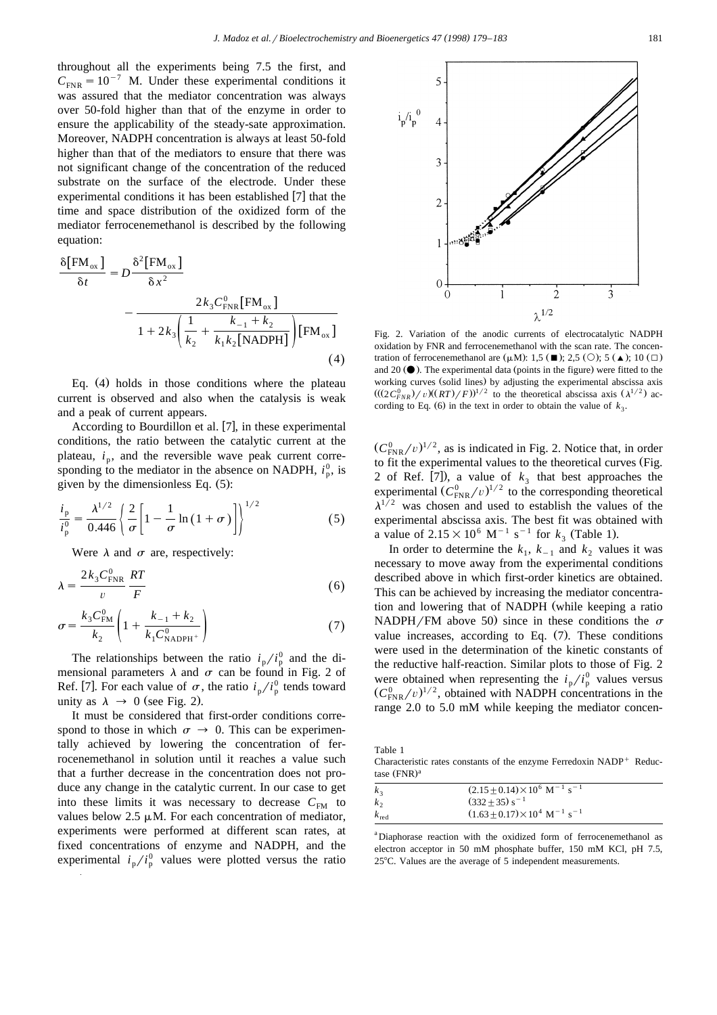throughout all the experiments being 7.5 the first, and  $C_{\text{FNR}} = 10^{-7}$  M. Under these experimental conditions it was assured that the mediator concentration was always over 50-fold higher than that of the enzyme in order to ensure the applicability of the steady-sate approximation. Moreover, NADPH concentration is always at least 50-fold higher than that of the mediators to ensure that there was not significant change of the concentration of the reduced substrate on the surface of the electrode. Under these experimental conditions it has been established  $[7]$  that the time and space distribution of the oxidized form of the mediator ferrocenemethanol is described by the following equation:

$$
\frac{\delta[\text{FM}_{ox}]}{\delta t} = D \frac{\delta^2[\text{FM}_{ox}]}{\delta x^2} - \frac{2k_3 C_{\text{FNR}}^0[\text{FM}_{ox}]}{1 + 2k_3 \left(\frac{1}{k_2} + \frac{k_{-1} + k_2}{k_1 k_2[\text{NADPH}]} \right)[\text{FM}_{ox}]} \tag{4}
$$

Eq.  $(4)$  holds in those conditions where the plateau current is observed and also when the catalysis is weak and a peak of current appears.

According to Bourdillon et al. [7], in these experimental conditions, the ratio between the catalytic current at the plateau,  $i_n$ , and the reversible wave peak current corresponding to the mediator in the absence on NADPH,  $i_p^0$ , is given by the dimensionless Eq.  $(5)$ :

$$
\frac{i_{\rm p}}{i_{\rm p}^0} = \frac{\lambda^{1/2}}{0.446} \left\{ \frac{2}{\sigma} \left[ 1 - \frac{1}{\sigma} \ln \left( 1 + \sigma \right) \right] \right\}^{1/2} \tag{5}
$$

Were  $\lambda$  and  $\sigma$  are, respectively:

$$
\lambda = \frac{2k_3 C_{\text{FNR}}^0}{v} \frac{RT}{F}
$$
 (6)

$$
\sigma = \frac{k_3 C_{\text{FM}}^0}{k_2} \left( 1 + \frac{k_{-1} + k_2}{k_1 C_{\text{NADPH}^+}^0} \right) \tag{7}
$$

The relationships between the ratio  $i_p/i_p^0$  and the dimensional parameters  $\lambda$  and  $\sigma$  can be found in Fig. 2 of Ref. [7]. For each value of  $\sigma$ , the ratio  $i_p/i_p^0$  tends toward unity as  $\lambda \rightarrow 0$  (see Fig. 2).

It must be considered that first-order conditions correspond to those in which  $\sigma \to 0$ . This can be experimentally achieved by lowering the concentration of ferrocenemethanol in solution until it reaches a value such that a further decrease in the concentration does not produce any change in the catalytic current. In our case to get into these limits it was necessary to decrease  $C_{\text{FM}}$  to values below  $2.5 \mu M$ . For each concentration of mediator, experiments were performed at different scan rates, at fixed concentrations of enzyme and NADPH, and the experimental  $i_p/i_p^0$  values were plotted versus the ratio



Fig. 2. Variation of the anodic currents of electrocatalytic NADPH oxidation by FNR and ferrocenemethanol with the scan rate. The concentration of ferrocenemethanol are  $(\mu M)$ : 1.5  $(\blacksquare)$ : 2.5  $(\bigcirc)$ : 5  $(\blacktriangle)$ : 10  $(\square)$ and 20  $\circ$ . The experimental data (points in the figure) were fitted to the working curves (solid lines) by adjusting the experimental abscissa axis  $(( (2C_{FNR}^0) / v)((RT)/F))^{1/2}$  to the theoretical abscissa axis  $(\lambda^{1/2})$  according to Eq. (6) in the text in order to obtain the value of  $k_3$ .

 $(C_{\text{FNR}}^0/v)^{1/2}$ , as is indicated in Fig. 2. Notice that, in order to fit the experimental values to the theoretical curves (Fig. 2 of Ref. [7]), a value of  $k_3$  that best approaches the experimental  $(C_{\text{FNR}}^0/v)^{1/2}$  to the corresponding theoretical  $\lambda^{1/2}$  was chosen and used to establish the values of the experimental abscissa axis. The best fit was obtained with a value of  $2.15 \times 10^6$  M<sup>-1</sup> s<sup>-1</sup> for  $k_3$  (Table 1).

In order to determine the  $k_1$ ,  $k_{-1}$  and  $k_2$  values it was necessary to move away from the experimental conditions described above in which first-order kinetics are obtained. This can be achieved by increasing the mediator concentration and lowering that of NADPH (while keeping a ratio NADPH/FM above 50) since in these conditions the  $\sigma$ value increases, according to Eq.  $(7)$ . These conditions were used in the determination of the kinetic constants of the reductive half-reaction. Similar plots to those of Fig. 2 were obtained when representing the  $i_p/i_p^0$  values versus  $(C_{\text{FNR}}^0/v)^{1/2}$ , obtained with NADPH concentrations in the range 2.0 to 5.0 mM while keeping the mediator concen-

Table 1 Characteristic rates constants of the enzyme Ferredoxin  $NADP<sup>+</sup>$  Reductase  $(FNR)^a$ 

| $k_{\lambda}$    | $(2.15 \pm 0.14) \times 10^6$ M <sup>-1</sup> s <sup>-1</sup> |
|------------------|---------------------------------------------------------------|
| $k_{\alpha}$     | $(332+35) s^{-1}$                                             |
| $k_{\text{red}}$ | $(1.63 + 0.17) \times 10^4$ M <sup>-1</sup> s <sup>-1</sup>   |

<sup>a</sup>Diaphorase reaction with the oxidized form of ferrocenemethanol as electron acceptor in 50 mM phosphate buffer, 150 mM KCl, pH 7.5,  $25^{\circ}$ C. Values are the average of 5 independent measurements.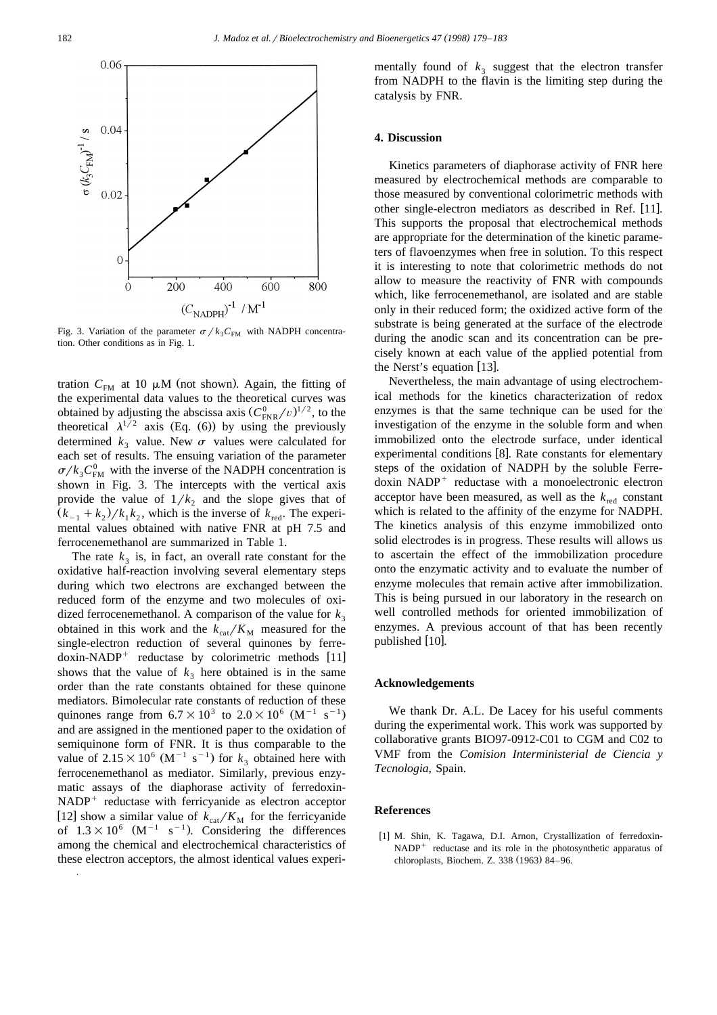

Fig. 3. Variation of the parameter  $\sigma / k_3 C_{\text{FM}}$  with NADPH concentration. Other conditions as in Fig. 1.

tration  $C_{FM}$  at 10  $\mu$ M (not shown). Again, the fitting of the experimental data values to the theoretical curves was obtained by adjusting the abscissa axis  $(C_{\text{FNR}}^0/v)^{1/2}$ , to the theoretical  $\lambda^{1/2}$  axis (Eq. 6)) by using the previously determined  $k_3$  value. New  $\sigma$  values were calculated for each set of results. The ensuing variation of the parameter  $\sigma/k_3C_{\text{FM}}^0$  with the inverse of the NADPH concentration is shown in Fig. 3. The intercepts with the vertical axis provide the value of  $1/k_2$  and the slope gives that of  $(k_{-1} + k_2) / k_1 k_2$ , which is the inverse of  $k_{\text{red}}$ . The experimental values obtained with native FNR at pH 7.5 and ferrocenemethanol are summarized in Table 1.

The rate  $k_3$  is, in fact, an overall rate constant for the oxidative half-reaction involving several elementary steps during which two electrons are exchanged between the reduced form of the enzyme and two molecules of oxidized ferrocenemethanol. A comparison of the value for  $k_3$ obtained in this work and the  $k_{\text{cat}}/K_{\text{M}}$  measured for the single-electron reduction of several quinones by ferredoxin-NADP<sup>+</sup> reductase by colorimetric methods  $[11]$ shows that the value of  $k_3$  here obtained is in the same order than the rate constants obtained for these quinone mediators. Bimolecular rate constants of reduction of these quinones range from  $6.7\times10^3$  to  $2.0\times10^6$  (M<sup>-1</sup> s<sup>-1</sup>) and are assigned in the mentioned paper to the oxidation of semiquinone form of FNR. It is thus comparable to the value of  $2.15 \times 10^6$  (M<sup>-1</sup> s<sup>-1</sup>) for  $k_3$  obtained here with ferrocenemethanol as mediator. Similarly, previous enzymatic assays of the diaphorase activity of ferredoxin- $NADP<sup>+</sup>$  reductase with ferricyanide as electron acceptor [12] show a similar value of  $k_{\text{cat}}/K_{\text{M}}$  for the ferricyanide of  $1.3 \times 10^6$  (M<sup>-1</sup> s<sup>-1</sup>). Considering the differences among the chemical and electrochemical characteristics of these electron acceptors, the almost identical values experimentally found of  $k_3$  suggest that the electron transfer from NADPH to the flavin is the limiting step during the catalysis by FNR.

## **4. Discussion**

Kinetics parameters of diaphorase activity of FNR here measured by electrochemical methods are comparable to those measured by conventional colorimetric methods with other single-electron mediators as described in Ref. [11]. This supports the proposal that electrochemical methods are appropriate for the determination of the kinetic parameters of flavoenzymes when free in solution. To this respect it is interesting to note that colorimetric methods do not allow to measure the reactivity of FNR with compounds which, like ferrocenemethanol, are isolated and are stable only in their reduced form; the oxidized active form of the substrate is being generated at the surface of the electrode during the anodic scan and its concentration can be precisely known at each value of the applied potential from the Nerst's equation  $[13]$ .

Nevertheless, the main advantage of using electrochemical methods for the kinetics characterization of redox enzymes is that the same technique can be used for the investigation of the enzyme in the soluble form and when immobilized onto the electrode surface, under identical experimental conditions  $[8]$ . Rate constants for elementary steps of the oxidation of NADPH by the soluble Ferre $doxin$  NADP<sup>+</sup> reductase with a monoelectronic electron acceptor have been measured, as well as the  $k_{\text{red}}$  constant which is related to the affinity of the enzyme for NADPH. The kinetics analysis of this enzyme immobilized onto solid electrodes is in progress. These results will allows us to ascertain the effect of the immobilization procedure onto the enzymatic activity and to evaluate the number of enzyme molecules that remain active after immobilization. This is being pursued in our laboratory in the research on well controlled methods for oriented immobilization of enzymes. A previous account of that has been recently published  $[10]$ .

#### **Acknowledgements**

We thank Dr. A.L. De Lacey for his useful comments during the experimental work. This work was supported by collaborative grants BIO97-0912-C01 to CGM and C02 to VMF from the *Comision Interministerial de Ciencia y Tecnologia*, Spain.

#### **References**

[1] M. Shin, K. Tagawa, D.I. Arnon, Crystallization of ferredoxin- $NADP<sup>+</sup>$  reductase and its role in the photosynthetic apparatus of chloroplasts, Biochem. Z. 338 (1963) 84-96.